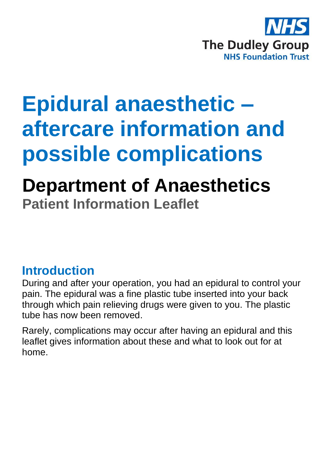

# **Epidural anaesthetic – aftercare information and possible complications**

# **Department of Anaesthetics Patient Information Leaflet**

### **Introduction**

During and after your operation, you had an epidural to control your pain. The epidural was a fine plastic tube inserted into your back through which pain relieving drugs were given to you. The plastic tube has now been removed.

Rarely, complications may occur after having an epidural and this leaflet gives information about these and what to look out for at home.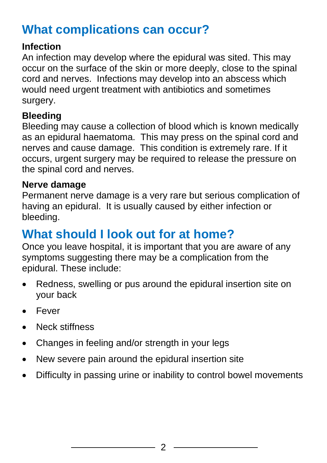# **What complications can occur?**

#### **Infection**

An infection may develop where the epidural was sited. This may occur on the surface of the skin or more deeply, close to the spinal cord and nerves. Infections may develop into an abscess which would need urgent treatment with antibiotics and sometimes surgery.

#### **Bleeding**

Bleeding may cause a collection of blood which is known medically as an epidural haematoma. This may press on the spinal cord and nerves and cause damage. This condition is extremely rare. If it occurs, urgent surgery may be required to release the pressure on the spinal cord and nerves.

#### **Nerve damage**

Permanent nerve damage is a very rare but serious complication of having an epidural. It is usually caused by either infection or bleeding.

# **What should I look out for at home?**

Once you leave hospital, it is important that you are aware of any symptoms suggesting there may be a complication from the epidural. These include:

- Redness, swelling or pus around the epidural insertion site on your back
- Fever
- Neck stiffness
- Changes in feeling and/or strength in your legs
- New severe pain around the epidural insertion site
- Difficulty in passing urine or inability to control bowel movements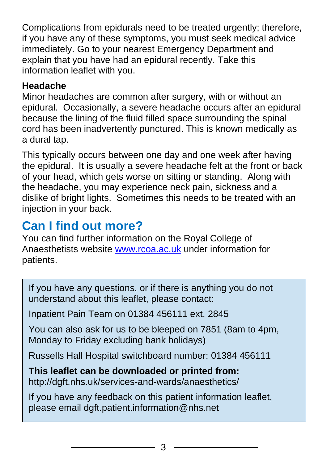Complications from epidurals need to be treated urgently; therefore, if you have any of these symptoms, you must seek medical advice immediately. Go to your nearest Emergency Department and explain that you have had an epidural recently. Take this information leaflet with you.

#### **Headache**

Minor headaches are common after surgery, with or without an epidural. Occasionally, a severe headache occurs after an epidural because the lining of the fluid filled space surrounding the spinal cord has been inadvertently punctured. This is known medically as a dural tap.

This typically occurs between one day and one week after having the epidural. It is usually a severe headache felt at the front or back of your head, which gets worse on sitting or standing. Along with the headache, you may experience neck pain, sickness and a dislike of bright lights. Sometimes this needs to be treated with an injection in your back.

# **Can I find out more?**

You can find further information on the Royal College of Anaesthetists website [www.rcoa.ac.uk](http://www.rcoa.ac.uk/) under information for patients.

If you have any questions, or if there is anything you do not understand about this leaflet, please contact:

Inpatient Pain Team on 01384 456111 ext. 2845

You can also ask for us to be bleeped on 7851 (8am to 4pm, Monday to Friday excluding bank holidays)

Russells Hall Hospital switchboard number: 01384 456111

**This leaflet can be downloaded or printed from:** http://dgft.nhs.uk/services-and-wards/anaesthetics/

If you have any feedback on this patient information leaflet, please email dgft.patient.information@nhs.net